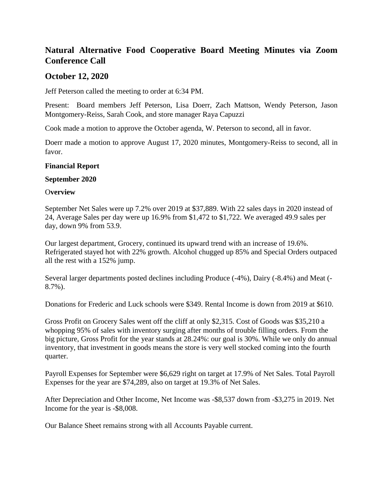# **Natural Alternative Food Cooperative Board Meeting Minutes via Zoom Conference Call**

## **October 12, 2020**

Jeff Peterson called the meeting to order at 6:34 PM.

Present: Board members Jeff Peterson, Lisa Doerr, Zach Mattson, Wendy Peterson, Jason Montgomery-Reiss, Sarah Cook, and store manager Raya Capuzzi

Cook made a motion to approve the October agenda, W. Peterson to second, all in favor.

Doerr made a motion to approve August 17, 2020 minutes, Montgomery-Reiss to second, all in favor.

### **Financial Report**

#### **September 2020**

### O**verview**

September Net Sales were up 7.2% over 2019 at \$37,889. With 22 sales days in 2020 instead of 24, Average Sales per day were up 16.9% from \$1,472 to \$1,722. We averaged 49.9 sales per day, down 9% from 53.9.

Our largest department, Grocery, continued its upward trend with an increase of 19.6%. Refrigerated stayed hot with 22% growth. Alcohol chugged up 85% and Special Orders outpaced all the rest with a 152% jump.

Several larger departments posted declines including Produce (-4%), Dairy (-8.4%) and Meat (- 8.7%).

Donations for Frederic and Luck schools were \$349. Rental Income is down from 2019 at \$610.

Gross Profit on Grocery Sales went off the cliff at only \$2,315. Cost of Goods was \$35,210 a whopping 95% of sales with inventory surging after months of trouble filling orders. From the big picture, Gross Profit for the year stands at 28.24%: our goal is 30%. While we only do annual inventory, that investment in goods means the store is very well stocked coming into the fourth quarter.

Payroll Expenses for September were \$6,629 right on target at 17.9% of Net Sales. Total Payroll Expenses for the year are \$74,289, also on target at 19.3% of Net Sales.

After Depreciation and Other Income, Net Income was -\$8,537 down from -\$3,275 in 2019. Net Income for the year is -\$8,008.

Our Balance Sheet remains strong with all Accounts Payable current.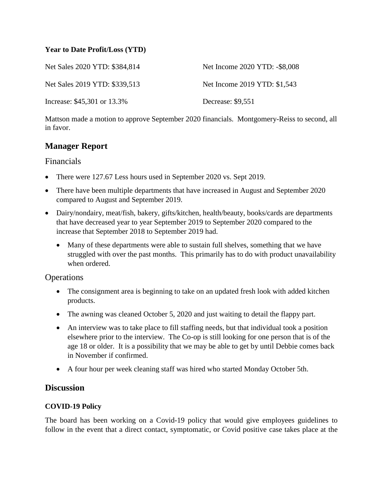## **Year to Date Profit/Loss (YTD)**

| Net Sales 2020 YTD: \$384,814 | Net Income 2020 YTD: -\$8,008 |
|-------------------------------|-------------------------------|
| Net Sales 2019 YTD: \$339,513 | Net Income 2019 YTD: \$1,543  |
| Increase: \$45,301 or 13.3%   | Decrease: \$9,551             |

Mattson made a motion to approve September 2020 financials. Montgomery-Reiss to second, all in favor.

## **Manager Report**

## Financials

- There were 127.67 Less hours used in September 2020 vs. Sept 2019.
- There have been multiple departments that have increased in August and September 2020 compared to August and September 2019.
- Dairy/nondairy, meat/fish, bakery, gifts/kitchen, health/beauty, books/cards are departments that have decreased year to year September 2019 to September 2020 compared to the increase that September 2018 to September 2019 had.
	- Many of these departments were able to sustain full shelves, something that we have struggled with over the past months. This primarily has to do with product unavailability when ordered.

## **Operations**

- The consignment area is beginning to take on an updated fresh look with added kitchen products.
- The awning was cleaned October 5, 2020 and just waiting to detail the flappy part.
- An interview was to take place to fill staffing needs, but that individual took a position elsewhere prior to the interview. The Co-op is still looking for one person that is of the age 18 or older. It is a possibility that we may be able to get by until Debbie comes back in November if confirmed.
- A four hour per week cleaning staff was hired who started Monday October 5th.

## **Discussion**

## **COVID-19 Policy**

The board has been working on a Covid-19 policy that would give employees guidelines to follow in the event that a direct contact, symptomatic, or Covid positive case takes place at the